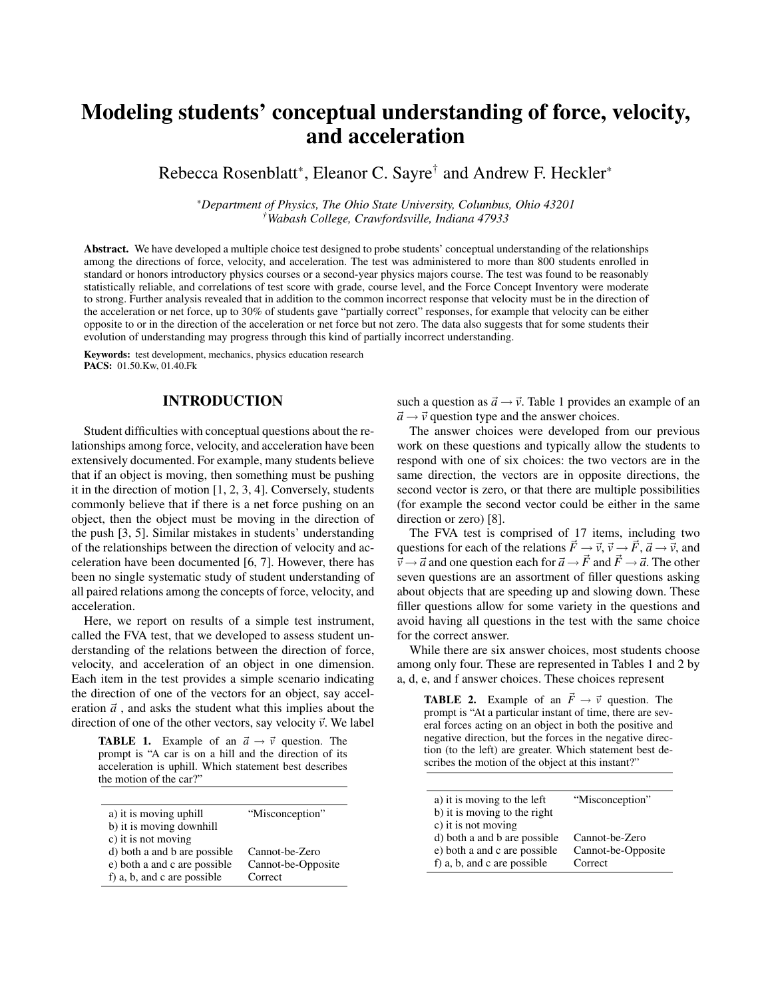## Modeling students' conceptual understanding of force, velocity, and acceleration

Rebecca Rosenblatt\*, Eleanor C. Sayre<sup>†</sup> and Andrew F. Heckler\*

*\*Department of Physics, The Ohio State University, Columbus, Ohio 43201 †Wabash College, Crawfordsville, Indiana 47933*

Abstract. We have developed a multiple choice test designed to probe students' conceptual understanding of the relationships among the directions of force, velocity, and acceleration. The test was administered to more than 800 students enrolled in standard or honors introductory physics courses or a second-year physics majors course. The test was found to be reasonably statistically reliable, and correlations of test score with grade, course level, and the Force Concept Inventory were moderate to strong. Further analysis revealed that in addition to the common incorrect response that velocity must be in the direction of the acceleration or net force, up to 30% of students gave "partially correct" responses, for example that velocity can be either opposite to or in the direction of the acceleration or net force but not zero. The data also suggests that for some students their evolution of understanding may progress through this kind of partially incorrect understanding.

Keywords: test development, mechanics, physics education research PACS: 01.50.Kw, 01.40.Fk

### INTRODUCTION

Student difficulties with conceptual questions about the relationships among force, velocity, and acceleration have been extensively documented. For example, many students believe that if an object is moving, then something must be pushing it in the direction of motion [1, 2, 3, 4]. Conversely, students commonly believe that if there is a net force pushing on an object, then the object must be moving in the direction of the push [3, 5]. Similar mistakes in students' understanding of the relationships between the direction of velocity and acceleration have been documented [6, 7]. However, there has been no single systematic study of student understanding of all paired relations among the concepts of force, velocity, and acceleration.

Here, we report on results of a simple test instrument, called the FVA test, that we developed to assess student understanding of the relations between the direction of force, velocity, and acceleration of an object in one dimension. Each item in the test provides a simple scenario indicating the direction of one of the vectors for an object, say acceleration  $\vec{a}$ , and asks the student what this implies about the direction of one of the other vectors, say velocity  $\vec{v}$ . We label

**TABLE 1.** Example of an  $\vec{a} \rightarrow \vec{v}$  question. The prompt is "A car is on a hill and the direction of its acceleration is uphill. Which statement best describes the motion of the car?"

| a) it is moving uphill       | "Misconception"    |  |  |
|------------------------------|--------------------|--|--|
| b) it is moving downhill     |                    |  |  |
| c) it is not moving          |                    |  |  |
| d) both a and b are possible | Cannot-be-Zero     |  |  |
| e) both a and c are possible | Cannot-be-Opposite |  |  |
| f) a, b, and c are possible  | Correct            |  |  |
|                              |                    |  |  |

such a question as  $\vec{a} \rightarrow \vec{v}$ . Table 1 provides an example of an  $\vec{a} \rightarrow \vec{v}$  question type and the answer choices.

The answer choices were developed from our previous work on these questions and typically allow the students to respond with one of six choices: the two vectors are in the same direction, the vectors are in opposite directions, the second vector is zero, or that there are multiple possibilities (for example the second vector could be either in the same direction or zero) [8].

The FVA test is comprised of 17 items, including two questions for each of the relations  $\vec{F} \rightarrow \vec{v}, \vec{v} \rightarrow \vec{F}, \vec{a} \rightarrow \vec{v}$ , and  $\vec{v} \rightarrow \vec{a}$  and one question each for  $\vec{a} \rightarrow \vec{F}$  and  $\vec{F} \rightarrow \vec{a}$ . The other seven questions are an assortment of filler questions asking about objects that are speeding up and slowing down. These filler questions allow for some variety in the questions and avoid having all questions in the test with the same choice for the correct answer.

While there are six answer choices, most students choose among only four. These are represented in Tables 1 and 2 by a, d, e, and f answer choices. These choices represent

**TABLE 2.** Example of an  $\vec{F} \rightarrow \vec{v}$  question. The prompt is "At a particular instant of time, there are several forces acting on an object in both the positive and negative direction, but the forces in the negative direction (to the left) are greater. Which statement best describes the motion of the object at this instant?"

| a) it is moving to the left  | "Misconception"    |
|------------------------------|--------------------|
| b) it is moving to the right |                    |
| c) it is not moving          |                    |
| d) both a and b are possible | Cannot-be-Zero     |
| e) both a and c are possible | Cannot-be-Opposite |
| f) a, b, and c are possible  | Correct            |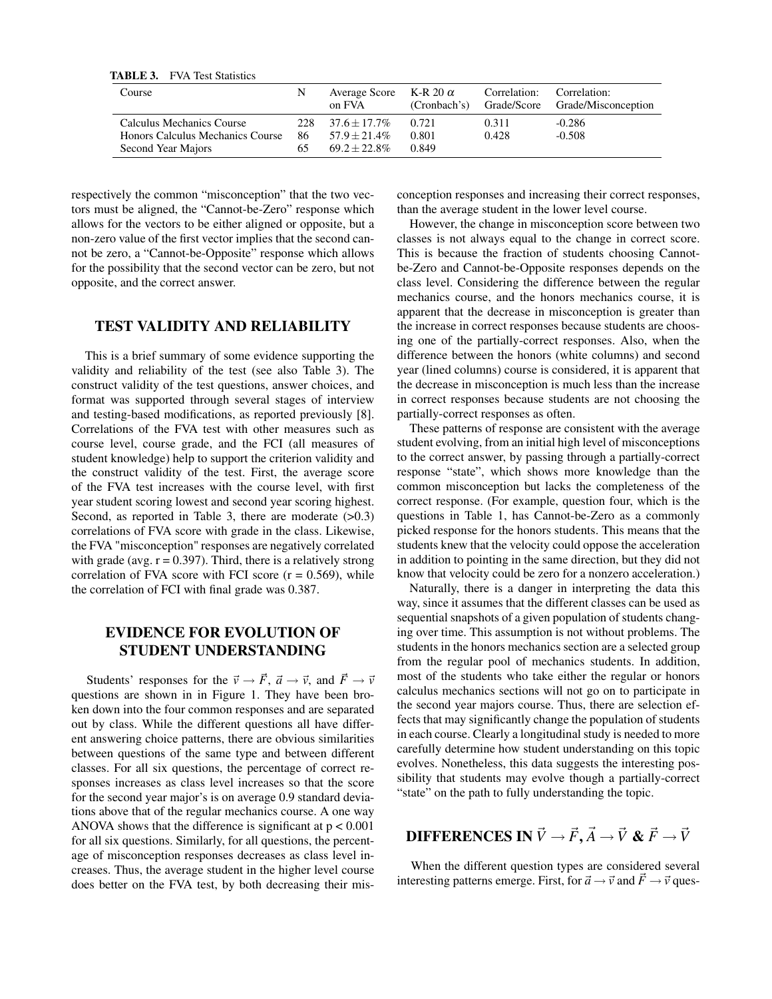| TABLE 3. | <b>FVA Test Statistics</b> |
|----------|----------------------------|
|          |                            |

| Course                           | N   | Average Score K-R 20 $\alpha$<br>on FVA | (Cronbach's) | Correlation: | Correlation:<br>Grade/Score Grade/Misconception |
|----------------------------------|-----|-----------------------------------------|--------------|--------------|-------------------------------------------------|
| Calculus Mechanics Course        | 228 | $37.6 + 17.7\%$                         | 0.721        | 0.311        | $-0.286$                                        |
| Honors Calculus Mechanics Course | 86  | $57.9 + 21.4\%$                         | 0.801        | 0.428        | $-0.508$                                        |
| Second Year Majors               | 65  | $69.2 + 22.8\%$                         | 0.849        |              |                                                 |

respectively the common "misconception" that the two vectors must be aligned, the "Cannot-be-Zero" response which allows for the vectors to be either aligned or opposite, but a non-zero value of the first vector implies that the second cannot be zero, a "Cannot-be-Opposite" response which allows for the possibility that the second vector can be zero, but not opposite, and the correct answer.

## TEST VALIDITY AND RELIABILITY

This is a brief summary of some evidence supporting the validity and reliability of the test (see also Table 3). The construct validity of the test questions, answer choices, and format was supported through several stages of interview and testing-based modifications, as reported previously [8]. Correlations of the FVA test with other measures such as course level, course grade, and the FCI (all measures of student knowledge) help to support the criterion validity and the construct validity of the test. First, the average score of the FVA test increases with the course level, with first year student scoring lowest and second year scoring highest. Second, as reported in Table 3, there are moderate  $(>0.3)$ correlations of FVA score with grade in the class. Likewise, the FVA "misconception" responses are negatively correlated with grade (avg.  $r = 0.397$ ). Third, there is a relatively strong correlation of FVA score with FCI score  $(r = 0.569)$ , while the correlation of FCI with final grade was 0.387.

## EVIDENCE FOR EVOLUTION OF STUDENT UNDERSTANDING

Students' responses for the  $\vec{v} \rightarrow \vec{F}$ ,  $\vec{a} \rightarrow \vec{v}$ , and  $\vec{F} \rightarrow \vec{v}$ questions are shown in in Figure 1. They have been broken down into the four common responses and are separated out by class. While the different questions all have different answering choice patterns, there are obvious similarities between questions of the same type and between different classes. For all six questions, the percentage of correct responses increases as class level increases so that the score for the second year major's is on average 0.9 standard deviations above that of the regular mechanics course. A one way ANOVA shows that the difference is significant at  $p < 0.001$ for all six questions. Similarly, for all questions, the percentage of misconception responses decreases as class level increases. Thus, the average student in the higher level course does better on the FVA test, by both decreasing their misconception responses and increasing their correct responses, than the average student in the lower level course.

However, the change in misconception score between two classes is not always equal to the change in correct score. This is because the fraction of students choosing Cannotbe-Zero and Cannot-be-Opposite responses depends on the class level. Considering the difference between the regular mechanics course, and the honors mechanics course, it is apparent that the decrease in misconception is greater than the increase in correct responses because students are choosing one of the partially-correct responses. Also, when the difference between the honors (white columns) and second year (lined columns) course is considered, it is apparent that the decrease in misconception is much less than the increase in correct responses because students are not choosing the partially-correct responses as often.

These patterns of response are consistent with the average student evolving, from an initial high level of misconceptions to the correct answer, by passing through a partially-correct response "state", which shows more knowledge than the common misconception but lacks the completeness of the correct response. (For example, question four, which is the questions in Table 1, has Cannot-be-Zero as a commonly picked response for the honors students. This means that the students knew that the velocity could oppose the acceleration in addition to pointing in the same direction, but they did not know that velocity could be zero for a nonzero acceleration.)

Naturally, there is a danger in interpreting the data this way, since it assumes that the different classes can be used as sequential snapshots of a given population of students changing over time. This assumption is not without problems. The students in the honors mechanics section are a selected group from the regular pool of mechanics students. In addition, most of the students who take either the regular or honors calculus mechanics sections will not go on to participate in the second year majors course. Thus, there are selection effects that may significantly change the population of students in each course. Clearly a longitudinal study is needed to more carefully determine how student understanding on this topic evolves. Nonetheless, this data suggests the interesting possibility that students may evolve though a partially-correct "state" on the path to fully understanding the topic.

# $\overrightarrow{D}$ **IFFERENCES IN**  $\vec{V} \rightarrow \vec{F}, \vec{A} \rightarrow \vec{V}$  &  $\vec{F} \rightarrow \vec{V}$

When the different question types are considered several interesting patterns emerge. First, for  $\vec{a} \rightarrow \vec{v}$  and  $\vec{F} \rightarrow \vec{v}$  ques-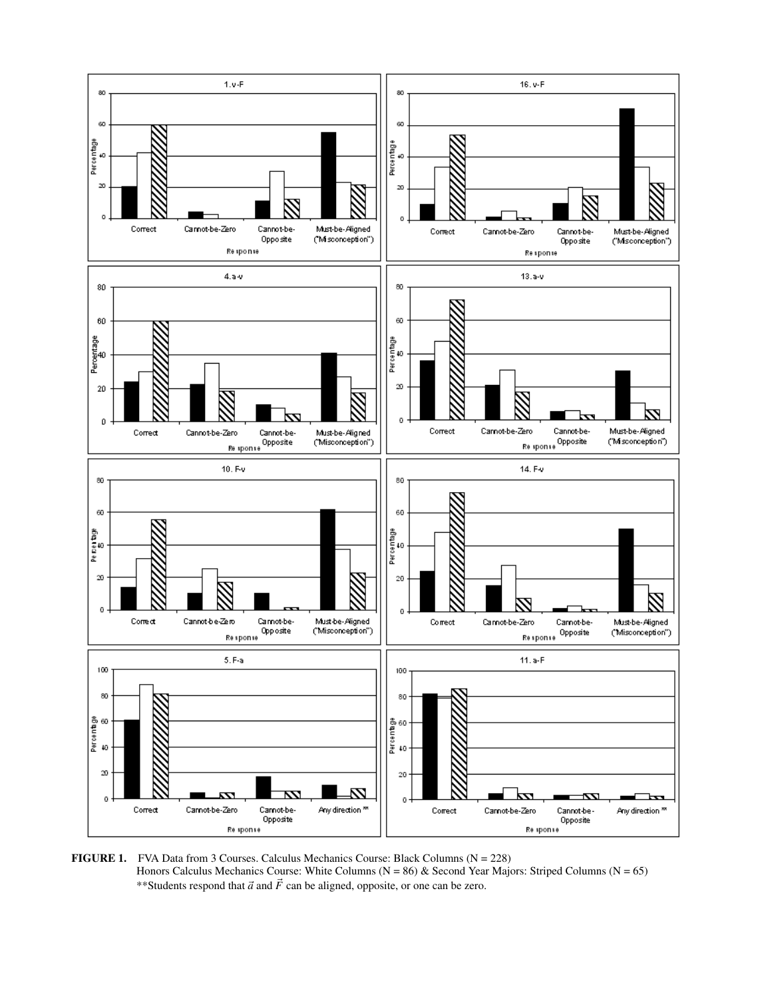

**FIGURE 1.** FVA Data from 3 Courses. Calculus Mechanics Course: Black Columns  $(N = 228)$ Honors Calculus Mechanics Course: White Columns  $(N = 86)$  & Second Year Majors: Striped Columns  $(N = 65)$ \*\*Students respond that  $\vec{a}$  and  $\vec{F}$  can be aligned, opposite, or one can be zero.